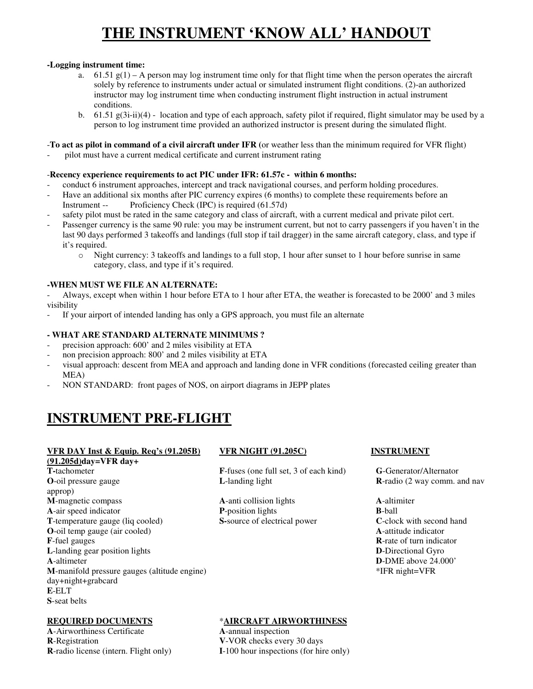# **THE INSTRUMENT 'KNOW ALL' HANDOUT**

### **-Logging instrument time:**

- a. 61.51  $g(1)$  A person may log instrument time only for that flight time when the person operates the aircraft solely by reference to instruments under actual or simulated instrument flight conditions. (2)-an authorized instructor may log instrument time when conducting instrument flight instruction in actual instrument conditions.
- b.  $61.51 \text{ g}(3\text{i}-\text{ii})(4)$  location and type of each approach, safety pilot if required, flight simulator may be used by a person to log instrument time provided an authorized instructor is present during the simulated flight.

### -**To act as pilot in command of a civil aircraft under IFR (**or weather less than the minimum required for VFR flight)

- pilot must have a current medical certificate and current instrument rating

### -**Recency experience requirements to act PIC under IFR: 61.57c - within 6 months:**

- conduct 6 instrument approaches, intercept and track navigational courses, and perform holding procedures.
- Have an additional six months after PIC currency expires (6 months) to complete these requirements before an Instrument -- Proficiency Check (IPC) is required (61.57d)
- safety pilot must be rated in the same category and class of aircraft, with a current medical and private pilot cert.
- Passenger currency is the same 90 rule: you may be instrument current, but not to carry passengers if you haven't in the last 90 days performed 3 takeoffs and landings (full stop if tail dragger) in the same aircraft category, class, and type if it's required.
	- o Night currency: 3 takeoffs and landings to a full stop, 1 hour after sunset to 1 hour before sunrise in same category, class, and type if it's required.

### **-WHEN MUST WE FILE AN ALTERNATE:**

- Always, except when within 1 hour before ETA to 1 hour after ETA, the weather is forecasted to be 2000' and 3 miles visibility

If your airport of intended landing has only a GPS approach, you must file an alternate

### **- WHAT ARE STANDARD ALTERNATE MINIMUMS ?**

- precision approach: 600' and 2 miles visibility at ETA
- non precision approach: 800' and 2 miles visibility at ETA
- visual approach: descent from MEA and approach and landing done in VFR conditions (forecasted ceiling greater than MEA)
- NON STANDARD: front pages of NOS, on airport diagrams in JEPP plates

# **INSTRUMENT PRE-FLIGHT**

# **VFR DAY Inst & Equip. Req's (91.205B) VFR NIGHT (91.205C) INSTRUMENT**

**(91.205d)day=VFR day+ T-**tachometer **F**-fuses (one full set, 3 of each kind) **G**-Generator/Alternator **O**-oil pressure gauge **L**-landing light **R**-radio (2 way comm. and nav approp) **M**-magnetic compass **A**-anti collision lights **A**-altimiter **A**-air speed indicator **P**-position lights **B**-ball **T**-temperature gauge (liq cooled) **S**-source of electrical power **C**-clock with second hand **O**-oil temp gauge (air cooled) **A**-attitude indicator **F**-fuel gauges **R**-rate of turn indicator **L**-landing gear position lights **D**-Directional Gyro **A**-altimeter **D**-DME above 24.000' **M**-manifold pressure gauges (altitude engine) \*IFR night=VFR day+night+grabcard **E**-ELT **S**-seat belts

**A**-Airworthiness Certificate **A**-annual inspection **R**-Registration **V**-VOR checks every 30 days

### **REQUIRED DOCUMENTS** \***AIRCRAFT AIRWORTHINESS**

**R**-radio license (intern. Flight only) **I**-100 hour inspections (for hire only)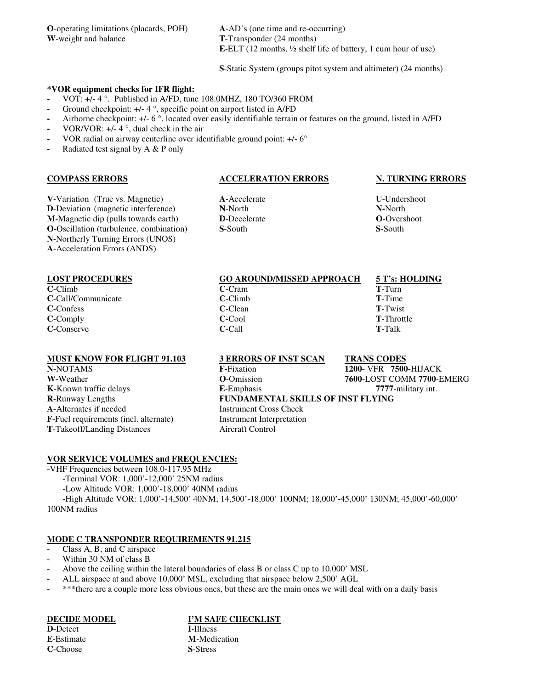**O**-operating limitations (placards, POH) **A**-AD's (one time and re-occurring) **W**-weight and balance **T**-Transponder (24 months)

**E**-ELT (12 months, ½ shelf life of battery, 1 cum hour of use)

**S**-Static System (groups pitot system and altimeter) (24 months)

### **\*VOR equipment checks for IFR flight:**

- VOT: +/- 4 °. Published in A/FD, tune 108.0MHZ, 180 TO/360 FROM
- **-** Ground checkpoint: +/- 4 °, specific point on airport listed in A/FD
- **-** Airborne checkpoint: +/- 6 °, located over easily identifiable terrain or features on the ground, listed in A/FD
- **-** VOR/VOR: +/- 4 °, dual check in the air
- **-** VOR radial on airway centerline over identifiable ground point: +/- 6°
- **-** Radiated test signal by A & P only

### **COMPASS ERRORS ACCELERATION ERRORS N. TURNING ERRORS**

**V**-Variation (True vs. Magnetic) **A**-Accelerate **U**-Undershoot **D**-Deviation (magnetic interference) **N**-North **N-**North **M**-Magnetic dip (pulls towards earth) **D**-Decelerate **O**-Overshoot **O**-Overshoot **O**-Oscillation (turbulence, combination) **S**-South **S**-South **S**-South **O**-Oscillation (turbulence, combination) **N**-Northerly Turning Errors (UNOS) **A**-Acceleration Errors (ANDS)

| <b>LOST PROCEDURES</b> | <b>GO AROUND/MISSED APPROACH</b> | 5 T's: HOLDING     |
|------------------------|----------------------------------|--------------------|
| $C$ -Climb             | $C-Cram$                         | T-Turn             |
| C-Call/Communicate     | $C$ -Climb                       | <b>T</b> -Time     |
| <b>C</b> -Confess      | C-Clean                          | <b>T-Twist</b>     |
| $C$ -Comply            | C-Cool                           | <b>T</b> -Throttle |
| C-Conserve             | C-Call                           | <b>T</b> -Talk     |
|                        |                                  |                    |

### **MUST KNOW FOR FLIGHT 91.103 3 ERRORS OF INST SCAN TRANS CODES**

**A**-Alternates if needed Instrument Cross Check **F**-Fuel requirements (incl. alternate) Instrument Interpretation **T**-Takeoff/Landing Distances Aircraft Control

**N**-NOTAMS **F-**Fixation **1200-** VFR **7500-**HIJACK **W**-Weather **O**-Omission **7600**-LOST COMM **7700**-EMERG **K**-Known traffic delays **E**-Emphasis **7777**-military int. **R**-Runway Lengths **FUNDAMENTAL SKILLS OF INST FLYING**

### **VOR SERVICE VOLUMES and FREQUENCIES:**

-VHF Frequencies between 108.0-117.95 MHz -Terminal VOR: 1,000'-12,000' 25NM radius -Low Altitude VOR: 1,000'-18,000' 40NM radius -High Altitude VOR: 1,000'-14,500' 40NM; 14,500'-18,000' 100NM; 18,000'-45,000' 130NM; 45,000'-60,000' 100NM radius

### **MODE C TRANSPONDER REQUIREMENTS 91.215**

- Class A, B, and C airspace
- Within 30 NM of class B
- Above the ceiling within the lateral boundaries of class B or class C up to 10,000' MSL
- ALL airspace at and above 10,000' MSL, excluding that airspace below 2,500' AGL
- \*\*\*there are a couple more less obvious ones, but these are the main ones we will deal with on a daily basis

**D**-Detect **I**-Illness **E**-Estimate **M**-Medication **C**-Choose **S**-Stress

### **DECIDE MODEL I'M SAFE CHECKLIST**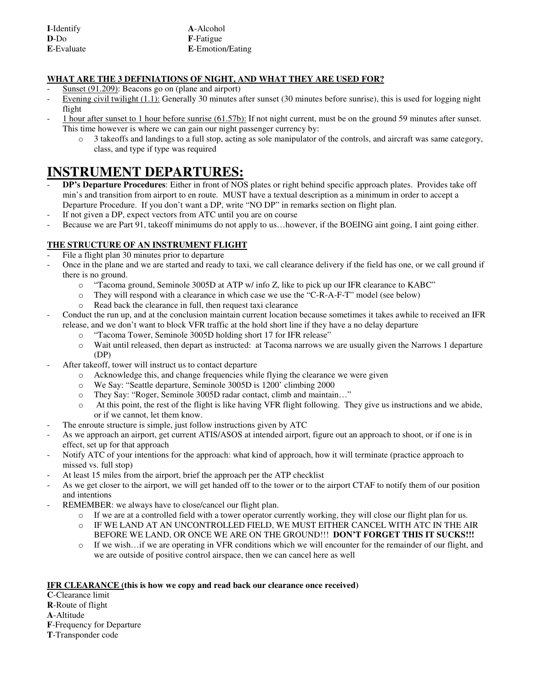| I-Identify         | A-Alcohol               |  |
|--------------------|-------------------------|--|
| $D-D0$             | <b>F</b> -Fatigue       |  |
| <b>E</b> -Evaluate | <b>E-Emotion/Eating</b> |  |

# **WHAT ARE THE 3 DEFINIATIONS OF NIGHT, AND WHAT THEY ARE USED FOR?**

- Sunset (91.209): Beacons go on (plane and airport)
- Evening civil twilight (1.1): Generally 30 minutes after sunset (30 minutes before sunrise), this is used for logging night flight
- 1 hour after sunset to 1 hour before sunrise (61.57b): If not night current, must be on the ground 59 minutes after sunset. This time however is where we can gain our night passenger currency by:
	- o 3 takeoffs and landings to a full stop, acting as sole manipulator of the controls, and aircraft was same category, class, and type if type was required

# **INSTRUMENT DEPARTURES:**

- **DP's Departure Procedures**: Either in front of NOS plates or right behind specific approach plates. Provides take off min's and transition from airport to en route. MUST have a textual description as a minimum in order to accept a Departure Procedure. If you don't want a DP, write "NO DP" in remarks section on flight plan.
- If not given a DP, expect vectors from ATC until you are on course
- Because we are Part 91, takeoff minimums do not apply to us...bowever, if the BOEING aint going, I aint going either.

# **THE STRUCTURE OF AN INSTRUMENT FLIGHT**

- File a flight plan 30 minutes prior to departure
- Once in the plane and we are started and ready to taxi, we call clearance delivery if the field has one, or we call ground if there is no ground.
	- o "Tacoma ground, Seminole 3005D at ATP w/ info Z, like to pick up our IFR clearance to KABC"
	- o They will respond with a clearance in which case we use the "C-R-A-F-T" model (see below)
	- o Read back the clearance in full, then request taxi clearance
- Conduct the run up, and at the conclusion maintain current location because sometimes it takes awhile to received an IFR release, and we don't want to block VFR traffic at the hold short line if they have a no delay departure
	- o "Tacoma Tower, Seminole 3005D holding short 17 for IFR release"
	- o Wait until released, then depart as instructed: at Tacoma narrows we are usually given the Narrows 1 departure (DP)
- After takeoff, tower will instruct us to contact departure
	- $\circ$  Acknowledge this, and change frequencies while flying the clearance we were given
	- o We Say: "Seattle departure, Seminole 3005D is 1200' climbing 2000
	- o They Say: "Roger, Seminole 3005D radar contact, climb and maintain…"
	- o At this point, the rest of the flight is like having VFR flight following. They give us instructions and we abide, or if we cannot, let them know.
- The enroute structure is simple, just follow instructions given by ATC
- As we approach an airport, get current ATIS/ASOS at intended airport, figure out an approach to shoot, or if one is in effect, set up for that approach
- Notify ATC of your intentions for the approach: what kind of approach, how it will terminate (practice approach to missed vs. full stop)
- At least 15 miles from the airport, brief the approach per the ATP checklist
- As we get closer to the airport, we will get handed off to the tower or to the airport CTAF to notify them of our position and intentions
- REMEMBER: we always have to close/cancel our flight plan.
	- o If we are at a controlled field with a tower operator currently working, they will close our flight plan for us.
	- o IF WE LAND AT AN UNCONTROLLED FIELD, WE MUST EITHER CANCEL WITH ATC IN THE AIR BEFORE WE LAND, OR ONCE WE ARE ON THE GROUND!!! **DON'T FORGET THIS IT SUCKS!!!**
	- o If we wish…if we are operating in VFR conditions which we will encounter for the remainder of our flight, and we are outside of positive control airspace, then we can cancel here as well

# **IFR CLEARANCE (this is how we copy and read back our clearance once received)**

**C**-Clearance limit **R**-Route of flight **A**-Altitude **F**-Frequency for Departure **T**-Transponder code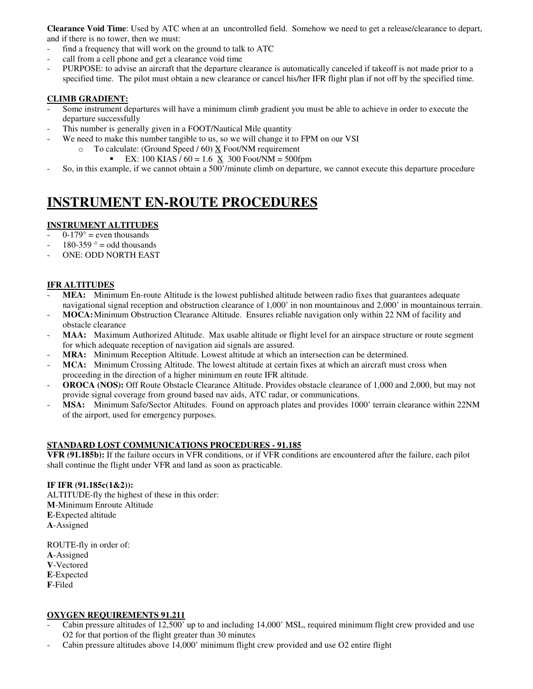**Clearance Void Time**: Used by ATC when at an uncontrolled field. Somehow we need to get a release/clearance to depart, and if there is no tower, then we must:

- find a frequency that will work on the ground to talk to ATC
- call from a cell phone and get a clearance void time
- PURPOSE: to advise an aircraft that the departure clearance is automatically canceled if takeoff is not made prior to a specified time. The pilot must obtain a new clearance or cancel his/her IFR flight plan if not off by the specified time.

### **CLIMB GRADIENT:**

- Some instrument departures will have a minimum climb gradient you must be able to achieve in order to execute the departure successfully
- This number is generally given in a FOOT/Nautical Mile quantity
- We need to make this number tangible to us, so we will change it to FPM on our VSI
	- $\circ$  To calculate: (Ground Speed / 60)  $\underline{X}$  Foot/NM requirement
		- EX: 100 KIAS /  $60 = 1.6$  X 300 Foot/NM = 500fpm
- So, in this example, if we cannot obtain a 500'/minute climb on departure, we cannot execute this departure procedure

# **INSTRUMENT EN-ROUTE PROCEDURES**

# **INSTRUMENT ALTITUDES**

- $0-179^\circ$  = even thousands
- $180-359$  ° = odd thousands
- ONE: ODD NORTH EAST

### **IFR ALTITUDES**

- **MEA:** Minimum En-route Altitude is the lowest published altitude between radio fixes that guarantees adequate navigational signal reception and obstruction clearance of 1,000' in non mountainous and 2,000' in mountainous terrain.
- **MOCA:** Minimum Obstruction Clearance Altitude. Ensures reliable navigation only within 22 NM of facility and obstacle clearance
- MAA: Maximum Authorized Altitude. Max usable altitude or flight level for an airspace structure or route segment for which adequate reception of navigation aid signals are assured.
- **MRA:** Minimum Reception Altitude. Lowest altitude at which an intersection can be determined.
- **MCA:** Minimum Crossing Altitude. The lowest altitude at certain fixes at which an aircraft must cross when proceeding in the direction of a higher minimum en route IFR altitude.
- **OROCA (NOS):** Off Route Obstacle Clearance Altitude. Provides obstacle clearance of 1,000 and 2,000, but may not provide signal coverage from ground based nav aids, ATC radar, or communications.
- MSA: Minimum Safe/Sector Altitudes. Found on approach plates and provides 1000' terrain clearance within 22NM of the airport, used for emergency purposes.

# **STANDARD LOST COMMUNICATIONS PROCEDURES - 91.185**

**VFR (91.185b):** If the failure occurs in VFR conditions, or if VFR conditions are encountered after the failure, each pilot shall continue the flight under VFR and land as soon as practicable.

### **IF IFR (91.185c(1&2)):**

ALTITUDE-fly the highest of these in this order: **M**-Minimum Enroute Altitude **E**-Expected altitude **A**-Assigned

ROUTE-fly in order of: **A**-Assigned **V**-Vectored **E**-Expected **F**-Filed

### **OXYGEN REQUIREMENTS 91.211**

- Cabin pressure altitudes of 12,500' up to and including 14,000' MSL, required minimum flight crew provided and use O2 for that portion of the flight greater than 30 minutes
- Cabin pressure altitudes above 14,000' minimum flight crew provided and use O2 entire flight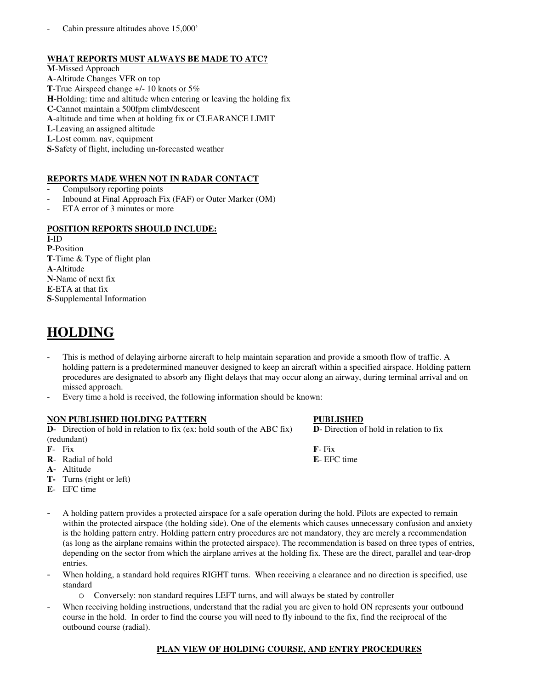### **WHAT REPORTS MUST ALWAYS BE MADE TO ATC?**

**M**-Missed Approach **A**-Altitude Changes VFR on top **T**-True Airspeed change +/- 10 knots or 5% **H**-Holding: time and altitude when entering or leaving the holding fix **C**-Cannot maintain a 500fpm climb/descent **A**-altitude and time when at holding fix or CLEARANCE LIMIT **L**-Leaving an assigned altitude **L**-Lost comm. nav, equipment **S**-Safety of flight, including un-forecasted weather

# **REPORTS MADE WHEN NOT IN RADAR CONTACT**

- Compulsory reporting points
- Inbound at Final Approach Fix (FAF) or Outer Marker (OM)
- ETA error of 3 minutes or more

### **POSITION REPORTS SHOULD INCLUDE:**

**I**-ID **P**-Position **T**-Time & Type of flight plan **A**-Altitude **N**-Name of next fix **E**-ETA at that fix **S**-Supplemental Information

# **HOLDING**

- This is method of delaying airborne aircraft to help maintain separation and provide a smooth flow of traffic. A holding pattern is a predetermined maneuver designed to keep an aircraft within a specified airspace. Holding pattern procedures are designated to absorb any flight delays that may occur along an airway, during terminal arrival and on missed approach.
- Every time a hold is received, the following information should be known:

### **NON PUBLISHED HOLDING PATTERN PUBLISHED**

**D**- Direction of hold in relation to fix (ex: hold south of the ABC fix) **D**- Direction of hold in relation to fix (redundant)

- 
- **R** Radial of hold **E** EFC time
- **A** Altitude
- **T-** Turns (right or left)
- **E** EFC time
- A holding pattern provides a protected airspace for a safe operation during the hold. Pilots are expected to remain within the protected airspace (the holding side). One of the elements which causes unnecessary confusion and anxiety is the holding pattern entry. Holding pattern entry procedures are not mandatory, they are merely a recommendation (as long as the airplane remains within the protected airspace). The recommendation is based on three types of entries, depending on the sector from which the airplane arrives at the holding fix. These are the direct, parallel and tear-drop entries.
- When holding, a standard hold requires RIGHT turns. When receiving a clearance and no direction is specified, use standard
	- o Conversely: non standard requires LEFT turns, and will always be stated by controller
- When receiving holding instructions, understand that the radial you are given to hold ON represents your outbound course in the hold. In order to find the course you will need to fly inbound to the fix, find the reciprocal of the outbound course (radial).

### **PLAN VIEW OF HOLDING COURSE, AND ENTRY PROCEDURES**

**F**- Fix **F**- Fix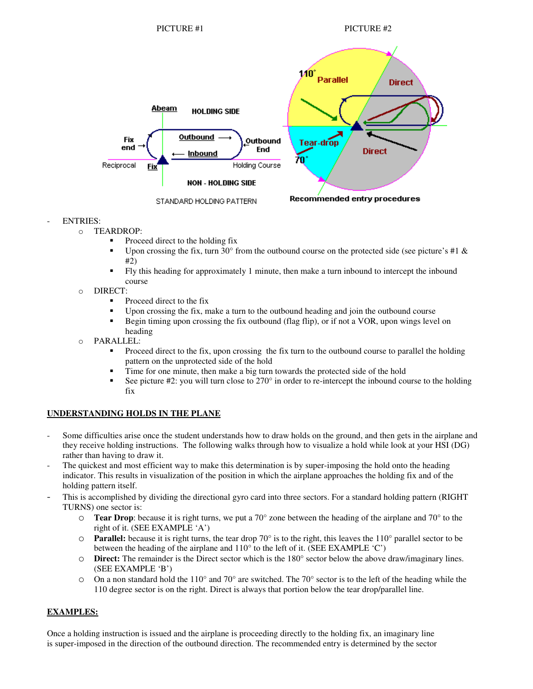

### **ENTRIES:**

- o TEARDROP:
	- Proceed direct to the holding fix
	- Upon crossing the fix, turn 30° from the outbound course on the protected side (see picture's #1  $\&$ #2)
	- Fly this heading for approximately 1 minute, then make a turn inbound to intercept the inbound course
- o DIRECT:
	- Proceed direct to the fix
	- Upon crossing the fix, make a turn to the outbound heading and join the outbound course
	- Begin timing upon crossing the fix outbound (flag flip), or if not a VOR, upon wings level on heading
- o PARALLEL:
	- Proceed direct to the fix, upon crossing the fix turn to the outbound course to parallel the holding pattern on the unprotected side of the hold
	- Time for one minute, then make a big turn towards the protected side of the hold
	- See picture  $\#2$ : you will turn close to  $270^\circ$  in order to re-intercept the inbound course to the holding fix

# **UNDERSTANDING HOLDS IN THE PLANE**

- Some difficulties arise once the student understands how to draw holds on the ground, and then gets in the airplane and they receive holding instructions. The following walks through how to visualize a hold while look at your HSI (DG) rather than having to draw it.
- The quickest and most efficient way to make this determination is by super-imposing the hold onto the heading indicator. This results in visualization of the position in which the airplane approaches the holding fix and of the holding pattern itself.
- This is accomplished by dividing the directional gyro card into three sectors. For a standard holding pattern (RIGHT TURNS) one sector is:
	- o **Tear Drop**: because it is right turns, we put a 70° zone between the heading of the airplane and 70° to the right of it. (SEE EXAMPLE 'A')
	- $\circ$  **Parallel:** because it is right turns, the tear drop 70 $\circ$  is to the right, this leaves the 110 $\circ$  parallel sector to be between the heading of the airplane and 110° to the left of it. (SEE EXAMPLE 'C')
	- o **Direct:** The remainder is the Direct sector which is the 180° sector below the above draw/imaginary lines. (SEE EXAMPLE 'B')
	- $\circ$  On a non standard hold the 110° and 70° are switched. The 70° sector is to the left of the heading while the 110 degree sector is on the right. Direct is always that portion below the tear drop/parallel line.

# **EXAMPLES:**

Once a holding instruction is issued and the airplane is proceeding directly to the holding fix, an imaginary line is super-imposed in the direction of the outbound direction. The recommended entry is determined by the sector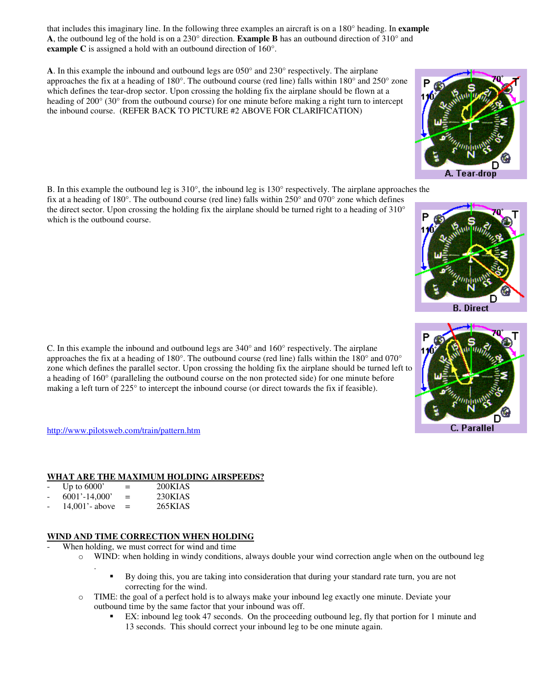that includes this imaginary line. In the following three examples an aircraft is on a 180° heading. In **example A**, the outbound leg of the hold is on a 230° direction. **Example B** has an outbound direction of 310° and **example C** is assigned a hold with an outbound direction of 160°.

**A**. In this example the inbound and outbound legs are 050° and 230° respectively. The airplane approaches the fix at a heading of 180°. The outbound course (red line) falls within 180° and 250° zone which defines the tear-drop sector. Upon crossing the holding fix the airplane should be flown at a heading of 200° (30° from the outbound course) for one minute before making a right turn to intercept the inbound course. (REFER BACK TO PICTURE #2 ABOVE FOR CLARIFICATION)

B. In this example the outbound leg is 310°, the inbound leg is 130° respectively. The airplane approaches the fix at a heading of 180°. The outbound course (red line) falls within 250° and 070° zone which defines the direct sector. Upon crossing the holding fix the airplane should be turned right to a heading of 310° which is the outbound course.

C. In this example the inbound and outbound legs are 340° and 160° respectively. The airplane approaches the fix at a heading of 180°. The outbound course (red line) falls within the 180° and 070° zone which defines the parallel sector. Upon crossing the holding fix the airplane should be turned left to a heading of 160° (paralleling the outbound course on the non protected side) for one minute before making a left turn of 225° to intercept the inbound course (or direct towards the fix if feasible).

http://www.pilotsweb.com/train/pattern.htm

### **WHAT ARE THE MAXIMUM HOLDING AIRSPEEDS?**

|                          | Up to $6000'$     | =   | 200KIAS                                               |
|--------------------------|-------------------|-----|-------------------------------------------------------|
| $\overline{\phantom{a}}$ | $6001' - 14,000'$ | $=$ | 230KIAS                                               |
|                          | 1.4.0012          |     | $\Delta$ $\epsilon$ $\Delta$ $\tau$ $\Delta$ $\Delta$ |

 $14,001'$ - above = 265KIAS

.

### **WIND AND TIME CORRECTION WHEN HOLDING**

- When holding, we must correct for wind and time
	- o WIND: when holding in windy conditions, always double your wind correction angle when on the outbound leg
		- By doing this, you are taking into consideration that during your standard rate turn, you are not correcting for the wind.
	- o TIME: the goal of a perfect hold is to always make your inbound leg exactly one minute. Deviate your outbound time by the same factor that your inbound was off.
		- EX: inbound leg took 47 seconds. On the proceeding outbound leg, fly that portion for 1 minute and 13 seconds. This should correct your inbound leg to be one minute again.





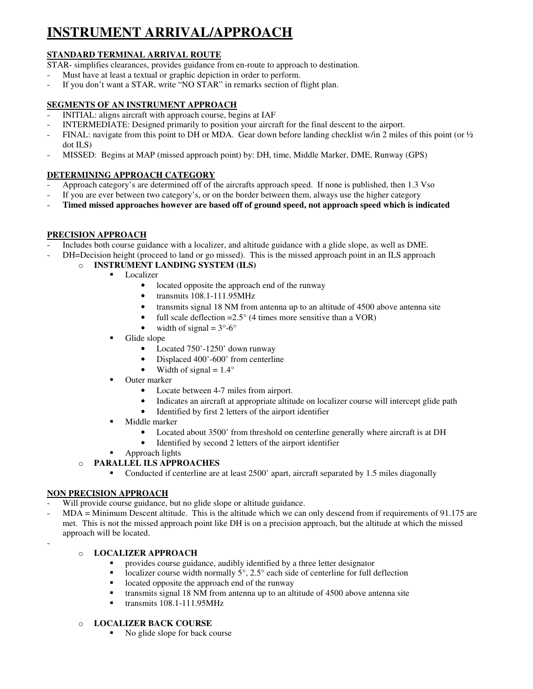# **INSTRUMENT ARRIVAL/APPROACH**

# **STANDARD TERMINAL ARRIVAL ROUTE**

STAR- simplifies clearances, provides guidance from en-route to approach to destination.

- Must have at least a textual or graphic depiction in order to perform.
- If you don't want a STAR, write "NO STAR" in remarks section of flight plan.

# **SEGMENTS OF AN INSTRUMENT APPROACH**

- INITIAL: aligns aircraft with approach course, begins at IAF
- INTERMEDIATE: Designed primarily to position your aircraft for the final descent to the airport.
- FINAL: navigate from this point to DH or MDA. Gear down before landing checklist w/in 2 miles of this point (or  $\frac{1}{2}$ ) dot ILS)
- MISSED: Begins at MAP (missed approach point) by: DH, time, Middle Marker, DME, Runway (GPS)

# **DETERMINING APPROACH CATEGORY**

- Approach category's are determined off of the aircrafts approach speed. If none is published, then 1.3 Vso
- If you are ever between two category's, or on the border between them, always use the higher category
- **Timed missed approaches however are based off of ground speed, not approach speed which is indicated**

# **PRECISION APPROACH**

- Includes both course guidance with a localizer, and altitude guidance with a glide slope, as well as DME.
	- DH=Decision height (proceed to land or go missed). This is the missed approach point in an ILS approach
		- o **INSTRUMENT LANDING SYSTEM (ILS)**
			- **Localizer** 
				- located opposite the approach end of the runway
				- transmits 108.1-111.95MHz
				- transmits signal 18 NM from antenna up to an altitude of 4500 above antenna site
				- full scale deflection =  $2.5^{\circ}$  (4 times more sensitive than a VOR)
				- width of signal  $= 3^{\circ} 6^{\circ}$
			- Glide slope
				- Located 750'-1250' down runway
				- Displaced 400'-600' from centerline
				- Width of signal  $= 1.4^\circ$
			- **Duter marker** 
				- Locate between 4-7 miles from airport.
				- Indicates an aircraft at appropriate altitude on localizer course will intercept glide path
				- Identified by first 2 letters of the airport identifier
			- **Middle marker** 
				- Located about 3500' from threshold on centerline generally where aircraft is at DH
				- Identified by second 2 letters of the airport identifier
			- **Approach lights**

# o **PARALLEL ILS APPROACHES**

• Conducted if centerline are at least 2500' apart, aircraft separated by 1.5 miles diagonally

# **NON PRECISION APPROACH**

-

- Will provide course guidance, but no glide slope or altitude guidance.
- MDA = Minimum Descent altitude. This is the altitude which we can only descend from if requirements of 91.175 are met. This is not the missed approach point like DH is on a precision approach, but the altitude at which the missed approach will be located.

# o **LOCALIZER APPROACH**

- provides course guidance, audibly identified by a three letter designator
- localizer course width normally  $5^\circ$ ,  $2.5^\circ$  each side of centerline for full deflection
- $\blacksquare$  located opposite the approach end of the runway
- transmits signal 18 NM from antenna up to an altitude of 4500 above antenna site
- $\blacksquare$  transmits 108.1-111.95MHz
- o **LOCALIZER BACK COURSE**
	- No glide slope for back course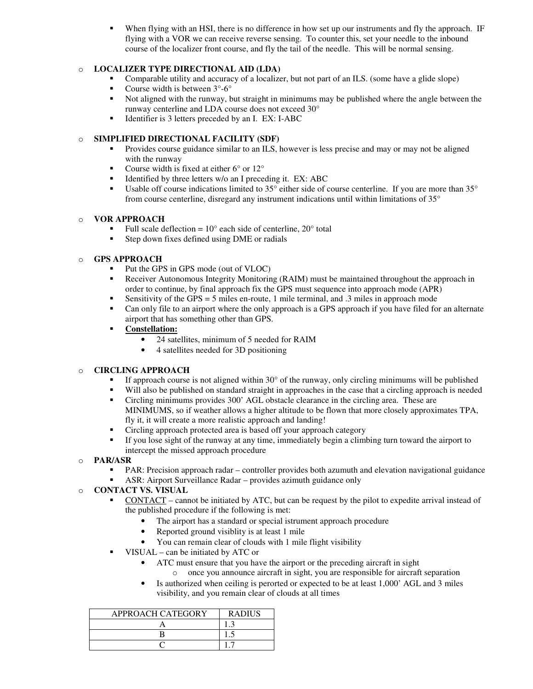When flying with an HSI, there is no difference in how set up our instruments and fly the approach. IF flying with a VOR we can receive reverse sensing. To counter this, set your needle to the inbound course of the localizer front course, and fly the tail of the needle. This will be normal sensing.

# o **LOCALIZER TYPE DIRECTIONAL AID (LDA)**

- Comparable utility and accuracy of a localizer, but not part of an ILS. (some have a glide slope)
- Course width is between 3°-6°
- Not aligned with the runway, but straight in minimums may be published where the angle between the runway centerline and LDA course does not exceed 30°
- Identifier is 3 letters preceded by an I. EX: I-ABC

# o **SIMPLIFIED DIRECTIONAL FACILITY (SDF)**

- **Provides course guidance similar to an ILS, however is less precise and may or may not be aligned** with the runway
- Course width is fixed at either  $6^{\circ}$  or  $12^{\circ}$
- Identified by three letters  $w/o$  an I preceding it. EX: ABC
- Usable off course indications limited to  $35^{\circ}$  either side of course centerline. If you are more than  $35^{\circ}$ from course centerline, disregard any instrument indications until within limitations of 35°

### o **VOR APPROACH**

- Full scale deflection =  $10^{\circ}$  each side of centerline,  $20^{\circ}$  total
- Step down fixes defined using DME or radials

### o **GPS APPROACH**

- Put the GPS in GPS mode (out of VLOC)
- **Receiver Autonomous Integrity Monitoring (RAIM) must be maintained throughout the approach in** order to continue, by final approach fix the GPS must sequence into approach mode (APR)
- Sensitivity of the GPS = 5 miles en-route, 1 mile terminal, and  $\alpha$  miles in approach mode
- Can only file to an airport where the only approach is a GPS approach if you have filed for an alternate airport that has something other than GPS.
- **Constellation:**
	- 24 satellites, minimum of 5 needed for RAIM
	- 4 satellites needed for 3D positioning

# o **CIRCLING APPROACH**

- If approach course is not aligned within  $30^{\circ}$  of the runway, only circling minimums will be published
- Will also be published on standard straight in approaches in the case that a circling approach is needed
- Circling minimums provides 300' AGL obstacle clearance in the circling area. These are MINIMUMS, so if weather allows a higher altitude to be flown that more closely approximates TPA, fly it, it will create a more realistic approach and landing!
- Circling approach protected area is based off your approach category
- If you lose sight of the runway at any time, immediately begin a climbing turn toward the airport to intercept the missed approach procedure
- o **PAR/ASR**
	- PAR: Precision approach radar controller provides both azumuth and elevation navigational guidance
	- ASR: Airport Surveillance Radar provides azimuth guidance only

# o **CONTACT VS. VISUAL**

- CONTACT cannot be initiated by ATC, but can be request by the pilot to expedite arrival instead of the published procedure if the following is met:
	- The airport has a standard or special istrument approach procedure
	- Reported ground visiblity is at least 1 mile
	- You can remain clear of clouds with 1 mile flight visibility
- VISUAL can be initiated by ATC or
	- ATC must ensure that you have the airport or the preceding aircraft in sight o once you announce aircraft in sight, you are responsible for aircraft separation
	- Is authorized when ceiling is perorted or expected to be at least 1,000' AGL and 3 miles visibility, and you remain clear of clouds at all times

| <b>APPROACH CATEGORY</b> | <b>RADIUS</b> |
|--------------------------|---------------|
|                          |               |
|                          |               |
|                          |               |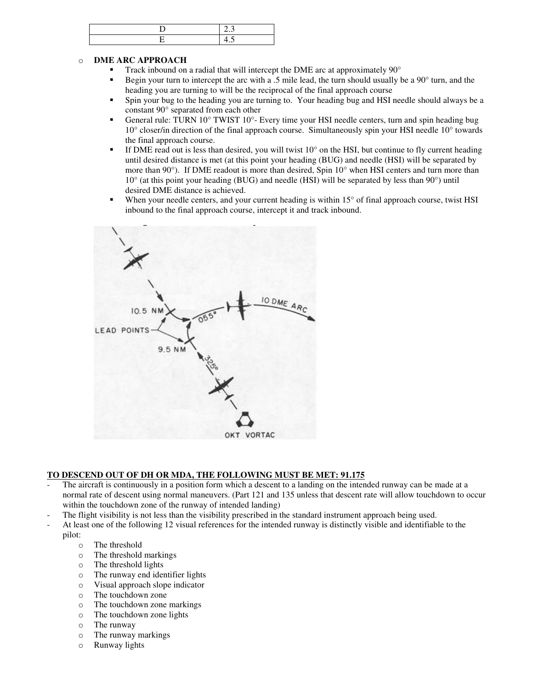### o **DME ARC APPROACH**

- Track inbound on a radial that will intercept the DME arc at approximately 90°
- Begin your turn to intercept the arc with a .5 mile lead, the turn should usually be a 90° turn, and the heading you are turning to will be the reciprocal of the final approach course
- Spin your bug to the heading you are turning to. Your heading bug and HSI needle should always be a constant 90° separated from each other
- General rule: TURN  $10^{\circ}$  TWIST  $10^{\circ}$  Every time your HSI needle centers, turn and spin heading bug 10° closer/in direction of the final approach course. Simultaneously spin your HSI needle 10° towards the final approach course.
- If DME read out is less than desired, you will twist  $10^{\circ}$  on the HSI, but continue to fly current heading until desired distance is met (at this point your heading (BUG) and needle (HSI) will be separated by more than 90°). If DME readout is more than desired, Spin 10° when HSI centers and turn more than 10° (at this point your heading (BUG) and needle (HSI) will be separated by less than 90°) until desired DME distance is achieved.
- When your needle centers, and your current heading is within 15° of final approach course, twist HSI inbound to the final approach course, intercept it and track inbound.



### **TO DESCEND OUT OF DH OR MDA, THE FOLLOWING MUST BE MET: 91.175**

- The aircraft is continuously in a position form which a descent to a landing on the intended runway can be made at a normal rate of descent using normal maneuvers. (Part 121 and 135 unless that descent rate will allow touchdown to occur within the touchdown zone of the runway of intended landing)
- The flight visibility is not less than the visibility prescribed in the standard instrument approach being used.
- At least one of the following 12 visual references for the intended runway is distinctly visible and identifiable to the pilot:
	- o The threshold
	- o The threshold markings
	- o The threshold lights
	- o The runway end identifier lights
	- o Visual approach slope indicator
	- o The touchdown zone
	- o The touchdown zone markings
	- o The touchdown zone lights
	- o The runway
	- o The runway markings
	- o Runway lights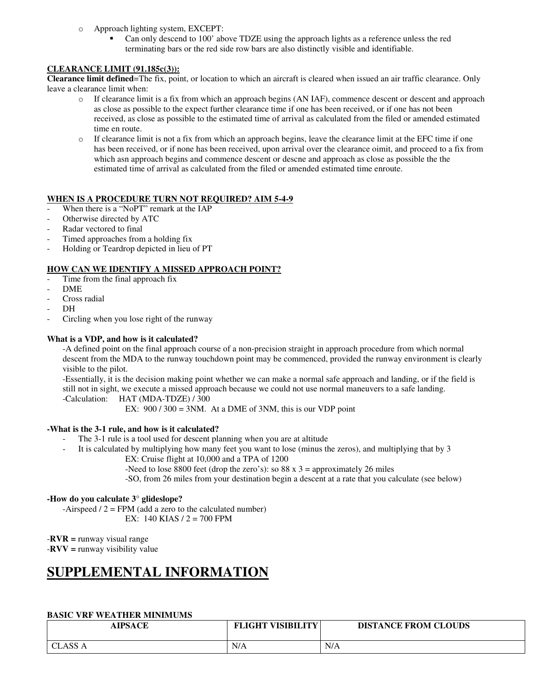- o Approach lighting system, EXCEPT:
	- Can only descend to 100' above TDZE using the approach lights as a reference unless the red terminating bars or the red side row bars are also distinctly visible and identifiable.

# **CLEARANCE LIMIT (91.185c(3)):**

**Clearance limit defined**=The fix, point, or location to which an aircraft is cleared when issued an air traffic clearance. Only leave a clearance limit when:

- o If clearance limit is a fix from which an approach begins (AN IAF), commence descent or descent and approach as close as possible to the expect further clearance time if one has been received, or if one has not been received, as close as possible to the estimated time of arrival as calculated from the filed or amended estimated time en route.
- o If clearance limit is not a fix from which an approach begins, leave the clearance limit at the EFC time if one has been received, or if none has been received, upon arrival over the clearance oimit, and proceed to a fix from which asn approach begins and commence descent or descne and approach as close as possible the the estimated time of arrival as calculated from the filed or amended estimated time enroute.

### **WHEN IS A PROCEDURE TURN NOT REQUIRED? AIM 5-4-9**

- When there is a "NoPT" remark at the IAP
- Otherwise directed by ATC
- Radar vectored to final
- Timed approaches from a holding fix
- Holding or Teardrop depicted in lieu of PT

### **HOW CAN WE IDENTIFY A MISSED APPROACH POINT?**

- Time from the final approach fix
- DME
- Cross radial
- $DH$
- Circling when you lose right of the runway

### **What is a VDP, and how is it calculated?**

-A defined point on the final approach course of a non-precision straight in approach procedure from which normal descent from the MDA to the runway touchdown point may be commenced, provided the runway environment is clearly visible to the pilot.

-Essentially, it is the decision making point whether we can make a normal safe approach and landing, or if the field is still not in sight, we execute a missed approach because we could not use normal maneuvers to a safe landing. -Calculation: HAT (MDA-TDZE) / 300

EX:  $900 / 300 = 3NM$ . At a DME of 3NM, this is our VDP point

### **-What is the 3-1 rule, and how is it calculated?**

- The 3-1 rule is a tool used for descent planning when you are at altitude
- It is calculated by multiplying how many feet you want to lose (minus the zeros), and multiplying that by 3
	- EX: Cruise flight at 10,000 and a TPA of 1200

-Need to lose 8800 feet (drop the zero's): so 88 x  $3 =$  approximately 26 miles

-SO, from 26 miles from your destination begin a descent at a rate that you calculate (see below)

### **-How do you calculate 3° glideslope?**

 $-Airspeed / 2 = FPM$  (add a zero to the calculated number) EX: 140 KIAS / 2 = 700 FPM

-**RVR =** runway visual range

-**RVV =** runway visibility value

# **SUPPLEMENTAL INFORMATION**

### **BASIC VRF WEATHER MINIMUMS**

| <b>AIPSACE</b>           | <b>FLIGHT VISIBILITY</b> | <b>DISTANCE FROM CLOUDS</b> |
|--------------------------|--------------------------|-----------------------------|
| <b>CLASS A</b><br>$\sim$ | N/A                      | N/A                         |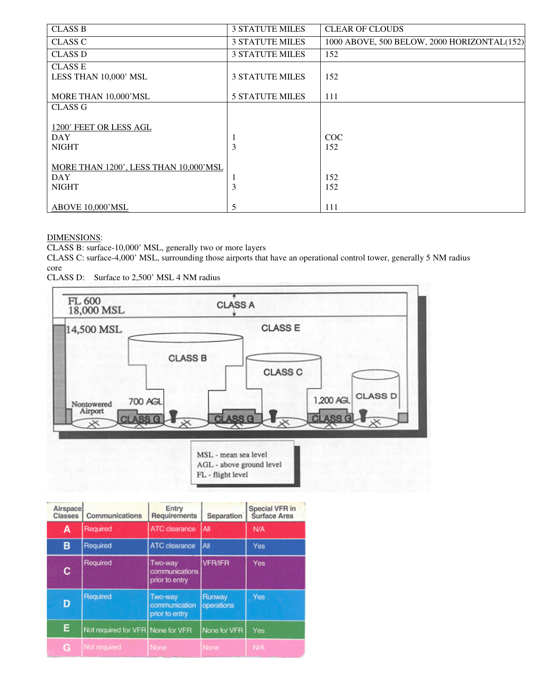| <b>CLASS B</b>                                                      | <b>3 STATUTE MILES</b> | <b>CLEAR OF CLOUDS</b>                      |
|---------------------------------------------------------------------|------------------------|---------------------------------------------|
| <b>CLASS C</b>                                                      | <b>3 STATUTE MILES</b> | 1000 ABOVE, 500 BELOW, 2000 HORIZONTAL(152) |
| <b>CLASS D</b>                                                      | <b>3 STATUTE MILES</b> | 152                                         |
| <b>CLASS E</b><br>LESS THAN 10,000' MSL                             | <b>3 STATUTE MILES</b> | 152                                         |
| MORE THAN 10,000'MSL                                                | <b>5 STATUTE MILES</b> | 111                                         |
| CLASS G                                                             |                        |                                             |
| 1200' FEET OR LESS AGL<br><b>DAY</b><br><b>NIGHT</b>                | -1<br>3                | COC<br>152                                  |
| MORE THAN 1200', LESS THAN 10,000'MSL<br><b>DAY</b><br><b>NIGHT</b> | 3                      | 152<br>152                                  |
| ABOVE 10,000'MSL                                                    | 5                      | 111                                         |

### DIMENSIONS:

CLASS B: surface-10,000' MSL, generally two or more layers

CLASS C: surface-4,000' MSL, surrounding those airports that have an operational control tower, generally 5 NM radius core

CLASS D: Surface to 2,500' MSL 4 NM radius



| Airspace<br><b>Classes</b> | Communications                    | Entry<br>Requirements                       | Separation           | <b>Special VFR in</b><br><b>Surface Area</b> |
|----------------------------|-----------------------------------|---------------------------------------------|----------------------|----------------------------------------------|
| A                          | Required                          | <b>ATC</b> clearance                        | All                  | N/A                                          |
| в                          | Required                          | ATC clearance                               | <b>AII</b>           | Yes                                          |
| c                          | Required                          | Two-way<br>communications<br>prior to entry | <b>VFR/IFR</b>       | <b>Yes</b>                                   |
| D                          | Required                          | Two-way<br>communication<br>prior to entry  | Runway<br>operations | Yes                                          |
| Ε                          | Not required for VFR None for VFR |                                             | None for VFR         | Yes                                          |
| G                          | Not required                      | None                                        | None:                | <b>N/A</b>                                   |